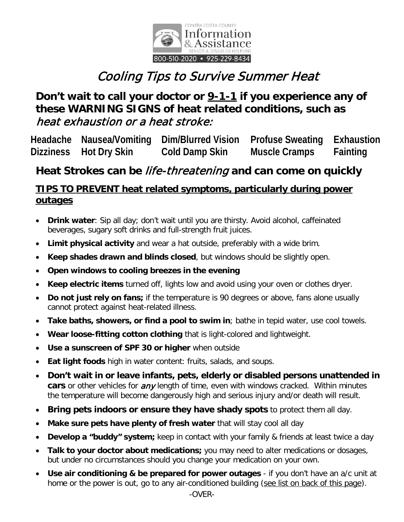

# Cooling Tips to Survive Summer Heat

## **Don't wait to call your doctor or 9-1-1 if you experience any of these WARNING SIGNS of heat related conditions, such as** heat exhaustion or a heat stroke:

**Headache Nausea/Vomiting Dim/Blurred Vision Profuse Sweating Exhaustion Dizziness Hot Dry Skin Cold Damp Skin Muscle Cramps Fainting**

## **Heat Strokes can be** life-threatening **and can come on quickly**

### **TIPS TO PREVENT heat related symptoms, particularly during power outages**

- **Drink water**: Sip all day; don't wait until you are thirsty. Avoid alcohol, caffeinated beverages, sugary soft drinks and full-strength fruit juices.
- **Limit physical activity** and wear a hat outside, preferably with a wide brim.
- **Keep shades drawn and blinds closed**, but windows should be slightly open.
- **Open windows to cooling breezes in the evening**
- **Keep electric items** turned off, lights low and avoid using your oven or clothes dryer.
- **Do not just rely on fans;** if the temperature is 90 degrees or above, fans alone usually cannot protect against heat-related illness.
- **Take baths, showers, or find a pool to swim in**; bathe in tepid water, use cool towels.
- **Wear loose-fitting cotton clothing** that is light-colored and lightweight.
- **Use a sunscreen of SPF 30 or higher** when outside
- **Eat light foods** high in water content: fruits, salads, and soups.
- **Don't wait in or leave infants, pets, elderly or disabled persons unattended in cars** or other vehicles for *any* length of time, even with windows cracked. Within minutes the temperature will become dangerously high and serious injury and/or death will result.
- **Bring pets indoors or ensure they have shady spots** to protect them all day.
- **Make sure pets have plenty of fresh water** that will stay cool all day
- **Develop a "buddy" system;** keep in contact with your family & friends at least twice a day
- **Talk to your doctor about medications;** you may need to alter medications or dosages, but under no circumstances should you change your medication on your own.
- **Use air conditioning & be prepared for power outages** if you don't have an a/c unit at home or the power is out, go to any air-conditioned building (see list on back of this page).